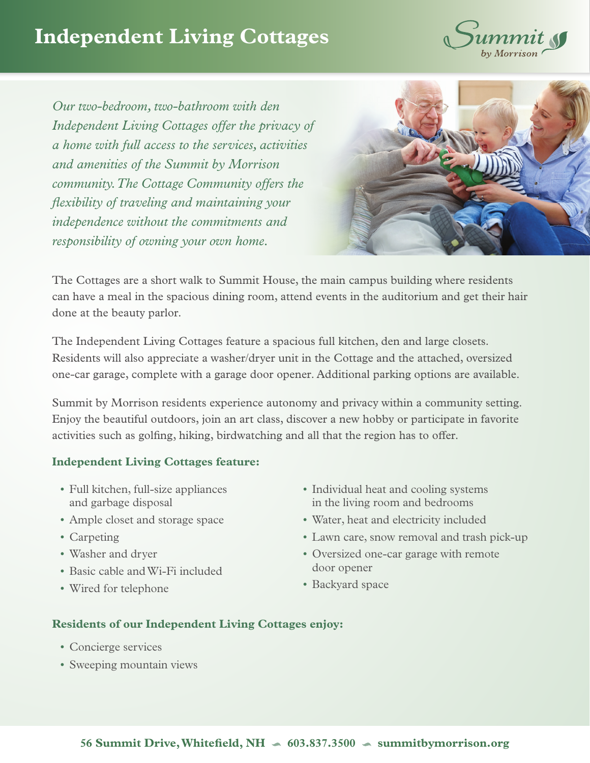## **Independent Living Cottages**



*Our two-bedroom, two-bathroom with den Independent Living Cottages offer the privacy of a home with full access to the services, activities and amenities of the Summit by Morrison community. The Cottage Community offers the flexibility of traveling and maintaining your independence without the commitments and responsibility of owning your own home.* 



The Cottages are a short walk to Summit House, the main campus building where residents can have a meal in the spacious dining room, attend events in the auditorium and get their hair done at the beauty parlor.

The Independent Living Cottages feature a spacious full kitchen, den and large closets. Residents will also appreciate a washer/dryer unit in the Cottage and the attached, oversized one-car garage, complete with a garage door opener. Additional parking options are available.

Summit by Morrison residents experience autonomy and privacy within a community setting. Enjoy the beautiful outdoors, join an art class, discover a new hobby or participate in favorite activities such as golfing, hiking, birdwatching and all that the region has to offer.

## **Independent Living Cottages feature:**

- Full kitchen, full-size appliances and garbage disposal
- Ample closet and storage space
- Carpeting
- Washer and dryer
- Basic cable and Wi-Fi included
- Wired for telephone
- Individual heat and cooling systems in the living room and bedrooms
- Water, heat and electricity included
- Lawn care, snow removal and trash pick-up
- Oversized one-car garage with remote door opener
- Backyard space

## **Residents of our Independent Living Cottages enjoy:**

- Concierge services
- Sweeping mountain views